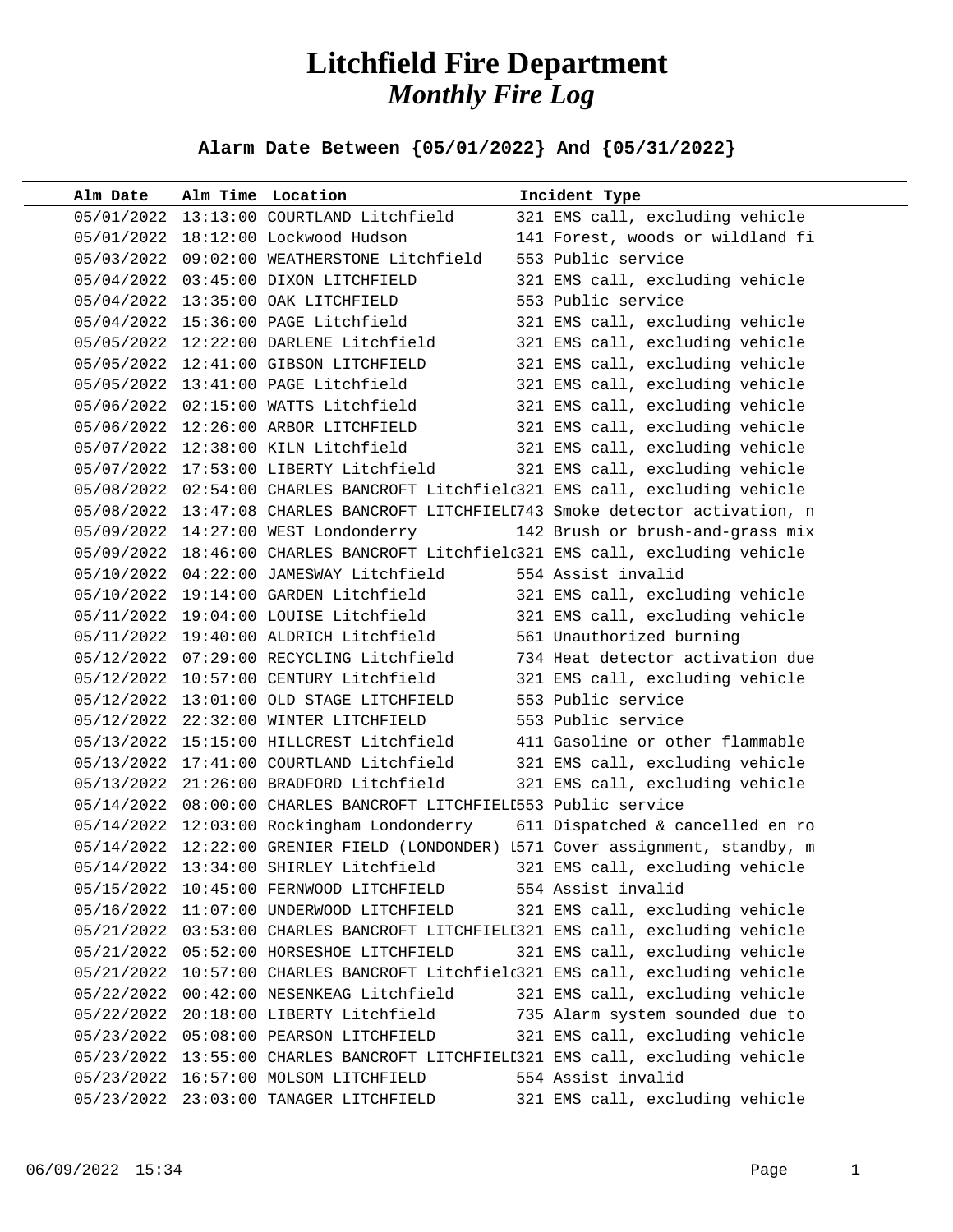## **Litchfield Fire Department** *Monthly Fire Log*

**Alarm Date Between {05/01/2022} And {05/31/2022}** 

| Alm Date   | Alm Time Location                                                 | Incident Type                                                                   |
|------------|-------------------------------------------------------------------|---------------------------------------------------------------------------------|
|            | 05/01/2022 13:13:00 COURTLAND Litchfield                          | 321 EMS call, excluding vehicle                                                 |
|            | 05/01/2022 18:12:00 Lockwood Hudson                               | 141 Forest, woods or wildland fi                                                |
|            | 05/03/2022 09:02:00 WEATHERSTONE Litchfield                       | 553 Public service                                                              |
|            | 05/04/2022 03:45:00 DIXON LITCHFIELD                              | 321 EMS call, excluding vehicle                                                 |
|            | 05/04/2022 13:35:00 OAK LITCHFIELD                                | 553 Public service                                                              |
|            | 05/04/2022 15:36:00 PAGE Litchfield                               | 321 EMS call, excluding vehicle                                                 |
|            | 05/05/2022 12:22:00 DARLENE Litchfield                            | 321 EMS call, excluding vehicle                                                 |
|            | 05/05/2022 12:41:00 GIBSON LITCHFIELD                             | 321 EMS call, excluding vehicle                                                 |
|            | 05/05/2022 13:41:00 PAGE Litchfield                               | 321 EMS call, excluding vehicle                                                 |
|            | 05/06/2022 02:15:00 WATTS Litchfield                              | 321 EMS call, excluding vehicle                                                 |
|            | 05/06/2022 12:26:00 ARBOR LITCHFIELD                              | 321 EMS call, excluding vehicle                                                 |
|            | 05/07/2022 12:38:00 KILN Litchfield                               | 321 EMS call, excluding vehicle                                                 |
|            | 05/07/2022 17:53:00 LIBERTY Litchfield                            | 321 EMS call, excluding vehicle                                                 |
|            |                                                                   | 05/08/2022 02:54:00 CHARLES BANCROFT Litchfield321 EMS call, excluding vehicle  |
|            |                                                                   | 05/08/2022 13:47:08 CHARLES BANCROFT LITCHFIELI743 Smoke detector activation, n |
|            | 05/09/2022 14:27:00 WEST Londonderry                              | 142 Brush or brush-and-grass mix                                                |
|            |                                                                   | 05/09/2022 18:46:00 CHARLES BANCROFT Litchfield321 EMS call, excluding vehicle  |
|            | 05/10/2022 04:22:00 JAMESWAY Litchfield                           | 554 Assist invalid                                                              |
|            | 05/10/2022 19:14:00 GARDEN Litchfield                             | 321 EMS call, excluding vehicle                                                 |
|            | 05/11/2022 19:04:00 LOUISE Litchfield                             | 321 EMS call, excluding vehicle                                                 |
|            | 05/11/2022 19:40:00 ALDRICH Litchfield                            | 561 Unauthorized burning                                                        |
|            | 05/12/2022 07:29:00 RECYCLING Litchfield                          | 734 Heat detector activation due                                                |
|            | 05/12/2022 10:57:00 CENTURY Litchfield                            | 321 EMS call, excluding vehicle                                                 |
|            | 05/12/2022 13:01:00 OLD STAGE LITCHFIELD                          | 553 Public service                                                              |
|            | 05/12/2022 22:32:00 WINTER LITCHFIELD                             | 553 Public service                                                              |
|            | 05/13/2022 15:15:00 HILLCREST Litchfield                          | 411 Gasoline or other flammable                                                 |
|            | 05/13/2022 17:41:00 COURTLAND Litchfield                          | 321 EMS call, excluding vehicle                                                 |
|            | 05/13/2022 21:26:00 BRADFORD Litchfield                           | 321 EMS call, excluding vehicle                                                 |
|            | 05/14/2022 08:00:00 CHARLES BANCROFT LITCHFIELL553 Public service |                                                                                 |
|            | 05/14/2022 12:03:00 Rockingham Londonderry                        | 611 Dispatched & cancelled en ro                                                |
|            |                                                                   | 05/14/2022 12:22:00 GRENIER FIELD (LONDONDER) I571 Cover assignment, standby, m |
|            | 05/14/2022 13:34:00 SHIRLEY Litchfield                            | 321 EMS call, excluding vehicle                                                 |
| 05/15/2022 | 10:45:00 FERNWOOD LITCHFIELD                                      | 554 Assist invalid                                                              |
| 05/16/2022 | 11:07:00 UNDERWOOD LITCHFIELD                                     | 321 EMS call, excluding vehicle                                                 |
|            |                                                                   | 05/21/2022 03:53:00 CHARLES BANCROFT LITCHFIELI321 EMS call, excluding vehicle  |
|            | 05/21/2022 05:52:00 HORSESHOE LITCHFIELD                          | 321 EMS call, excluding vehicle                                                 |
|            |                                                                   | 05/21/2022 10:57:00 CHARLES BANCROFT Litchfield321 EMS call, excluding vehicle  |
|            | 05/22/2022 00:42:00 NESENKEAG Litchfield                          | 321 EMS call, excluding vehicle                                                 |
|            | 05/22/2022 20:18:00 LIBERTY Litchfield                            | 735 Alarm system sounded due to                                                 |
|            | 05/23/2022  05:08:00  PEARSON LITCHFIELD                          | 321 EMS call, excluding vehicle                                                 |
| 05/23/2022 |                                                                   | 13:55:00 CHARLES BANCROFT LITCHFIELI321 EMS call, excluding vehicle             |
|            | 05/23/2022 16:57:00 MOLSOM LITCHFIELD                             | 554 Assist invalid                                                              |
|            | 05/23/2022 23:03:00 TANAGER LITCHFIELD                            | 321 EMS call, excluding vehicle                                                 |